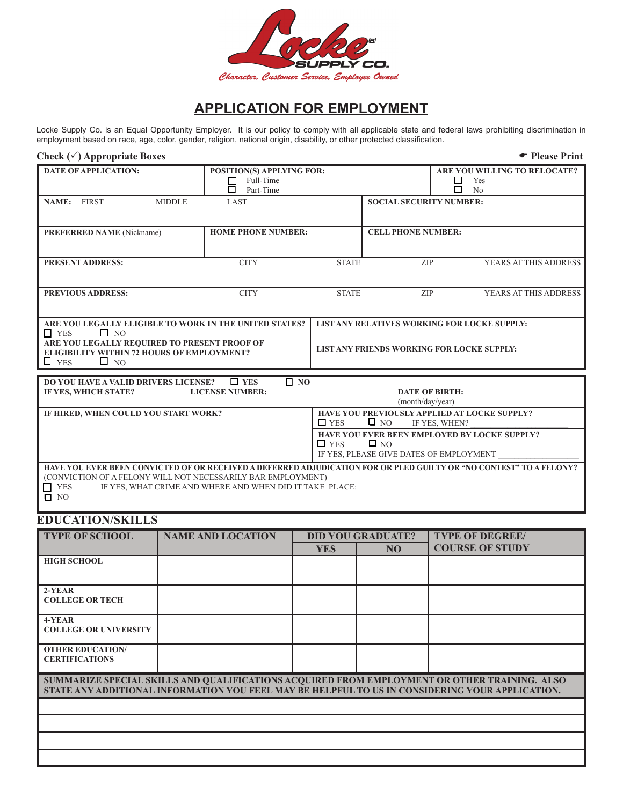

## **APPLICATION FOR EMPLOYMENT**

Locke Supply Co. is an Equal Opportunity Employer. It is our policy to comply with all applicable state and federal laws prohibiting discrimination in employment based on race, age, color, gender, religion, national origin, disability, or other protected classification.

| Check $(\checkmark)$ Appropriate Boxes                                                                                |               |                                                                  |                                                                                                                                          |                                                                       |                                            | • Please Print                                                                                                                                                                                  |  |
|-----------------------------------------------------------------------------------------------------------------------|---------------|------------------------------------------------------------------|------------------------------------------------------------------------------------------------------------------------------------------|-----------------------------------------------------------------------|--------------------------------------------|-------------------------------------------------------------------------------------------------------------------------------------------------------------------------------------------------|--|
| <b>DATE OF APPLICATION:</b>                                                                                           |               | POSITION(S) APPLYING FOR:<br>$\Box$ Full-Time<br>п.<br>Part-Time |                                                                                                                                          |                                                                       |                                            | ARE YOU WILLING TO RELOCATE?<br>□<br>Yes<br>□<br>N <sub>o</sub>                                                                                                                                 |  |
| NAME: FIRST                                                                                                           | <b>MIDDLE</b> | <b>LAST</b>                                                      |                                                                                                                                          |                                                                       | <b>SOCIAL SECURITY NUMBER:</b>             |                                                                                                                                                                                                 |  |
| <b>PREFERRED NAME</b> (Nickname)                                                                                      |               | <b>HOME PHONE NUMBER:</b>                                        |                                                                                                                                          |                                                                       | <b>CELL PHONE NUMBER:</b>                  |                                                                                                                                                                                                 |  |
| <b>PRESENT ADDRESS:</b>                                                                                               |               | <b>CITY</b>                                                      |                                                                                                                                          | <b>STATE</b>                                                          | <b>ZIP</b>                                 | YEARS AT THIS ADDRESS                                                                                                                                                                           |  |
| <b>PREVIOUS ADDRESS:</b>                                                                                              |               | <b>CITY</b>                                                      |                                                                                                                                          | <b>STATE</b>                                                          | ZIP                                        | YEARS AT THIS ADDRESS                                                                                                                                                                           |  |
| ARE YOU LEGALLY ELIGIBLE TO WORK IN THE UNITED STATES?<br>$\Box$ YES<br>$\Box$ NO                                     |               |                                                                  |                                                                                                                                          |                                                                       |                                            | LIST ANY RELATIVES WORKING FOR LOCKE SUPPLY:                                                                                                                                                    |  |
| ARE YOU LEGALLY REQUIRED TO PRESENT PROOF OF<br>ELIGIBILITY WITHIN 72 HOURS OF EMPLOYMENT?<br>$\Box$ NO<br>$\Box$ YES |               |                                                                  | LIST ANY FRIENDS WORKING FOR LOCKE SUPPLY:                                                                                               |                                                                       |                                            |                                                                                                                                                                                                 |  |
| <b>DO YOU HAVE A VALID DRIVERS LICENSE?</b><br>IF YES, WHICH STATE?                                                   |               | $\Box$ YES<br><b>LICENSE NUMBER:</b>                             | $\square$ NO                                                                                                                             |                                                                       | (month/day/year)                           | <b>DATE OF BIRTH:</b>                                                                                                                                                                           |  |
| IF HIRED, WHEN COULD YOU START WORK?                                                                                  |               |                                                                  | HAVE YOU PREVIOUSLY APPLIED AT LOCKE SUPPLY?<br>$\Box$ NO<br>$\Box$ YES<br>IF YES, WHEN?<br>HAVE YOU EVER BEEN EMPLOYED BY LOCKE SUPPLY? |                                                                       |                                            |                                                                                                                                                                                                 |  |
|                                                                                                                       |               |                                                                  |                                                                                                                                          | $\square$ NO<br>$\Box$ YES<br>IF YES, PLEASE GIVE DATES OF EMPLOYMENT |                                            |                                                                                                                                                                                                 |  |
| (CONVICTION OF A FELONY WILL NOT NECESSARILY BAR EMPLOYMENT)<br>$\Box$ YES<br>$\Box$ NO                               |               | IF YES, WHAT CRIME AND WHERE AND WHEN DID IT TAKE PLACE:         |                                                                                                                                          |                                                                       |                                            | HAVE YOU EVER BEEN CONVICTED OF OR RECEIVED A DEFERRED ADJUDICATION FOR OR PLED GUILTY OR "NO CONTEST" TO A FELONY?                                                                             |  |
| <b>EDUCATION/SKILLS</b>                                                                                               |               |                                                                  |                                                                                                                                          |                                                                       |                                            |                                                                                                                                                                                                 |  |
| <b>TYPE OF SCHOOL</b>                                                                                                 |               | <b>NAME AND LOCATION</b>                                         |                                                                                                                                          | <b>YES</b>                                                            | <b>DID YOU GRADUATE?</b><br>N <sub>O</sub> | <b>TYPE OF DEGREE/</b><br><b>COURSE OF STUDY</b>                                                                                                                                                |  |
| <b>HIGH SCHOOL</b>                                                                                                    |               |                                                                  |                                                                                                                                          |                                                                       |                                            |                                                                                                                                                                                                 |  |
| $2-YEAR$<br><b>COLLEGE OR TECH</b>                                                                                    |               |                                                                  |                                                                                                                                          |                                                                       |                                            |                                                                                                                                                                                                 |  |
| 4-YEAR<br><b>COLLEGE OR UNIVERSITY</b>                                                                                |               |                                                                  |                                                                                                                                          |                                                                       |                                            |                                                                                                                                                                                                 |  |
| <b>OTHER EDUCATION/</b><br><b>CERTIFICATIONS</b>                                                                      |               |                                                                  |                                                                                                                                          |                                                                       |                                            |                                                                                                                                                                                                 |  |
|                                                                                                                       |               |                                                                  |                                                                                                                                          |                                                                       |                                            | SUMMARIZE SPECIAL SKILLS AND QUALIFICATIONS ACQUIRED FROM EMPLOYMENT OR OTHER TRAINING. ALSO<br>STATE ANY ADDITIONAL INFORMATION YOU FEEL MAY BE HELPFUL TO US IN CONSIDERING YOUR APPLICATION. |  |
|                                                                                                                       |               |                                                                  |                                                                                                                                          |                                                                       |                                            |                                                                                                                                                                                                 |  |
|                                                                                                                       |               |                                                                  |                                                                                                                                          |                                                                       |                                            |                                                                                                                                                                                                 |  |
|                                                                                                                       |               |                                                                  |                                                                                                                                          |                                                                       |                                            |                                                                                                                                                                                                 |  |
|                                                                                                                       |               |                                                                  |                                                                                                                                          |                                                                       |                                            |                                                                                                                                                                                                 |  |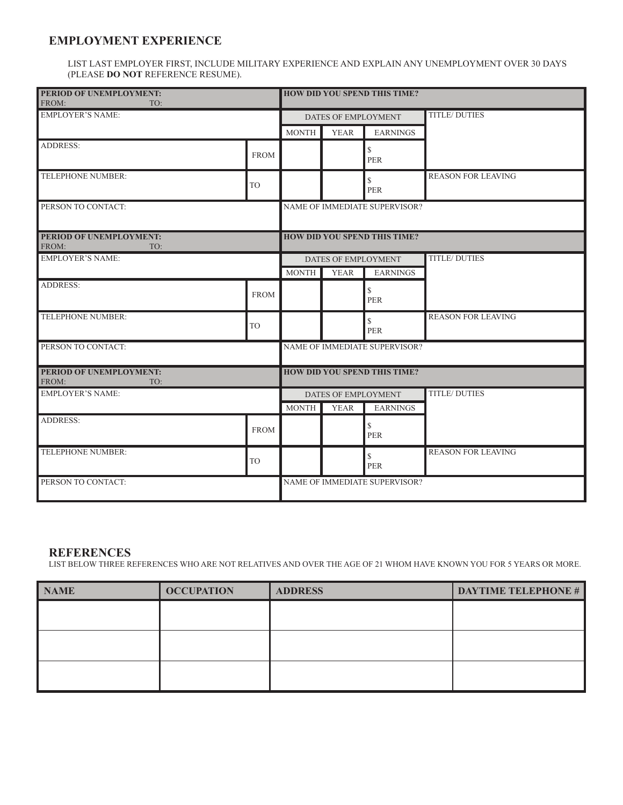## **EMPLOYMENT EXPERIENCE**

LIST LAST EMPLOYER FIRST, INCLUDE MILITARY EXPERIENCE AND EXPLAIN ANY UNEMPLOYMENT OVER 30 DAYS (PLEASE **DO NOT** REFERENCE RESUME).

| <b>PERIOD OF UNEMPLOYMENT:</b><br>FROM:<br>TO: |                                            | <b>HOW DID YOU SPEND THIS TIME?</b> |                     |                                      |                           |  |
|------------------------------------------------|--------------------------------------------|-------------------------------------|---------------------|--------------------------------------|---------------------------|--|
| EMPLOYER'S NAME:                               |                                            |                                     | DATES OF EMPLOYMENT |                                      | <b>TITLE/DUTIES</b>       |  |
|                                                |                                            | <b>MONTH</b>                        | <b>YEAR</b>         | <b>EARNINGS</b>                      |                           |  |
| ADDRESS:                                       | <b>FROM</b>                                |                                     |                     | \$<br><b>PER</b>                     |                           |  |
| <b>TELEPHONE NUMBER:</b>                       | <b>TO</b>                                  |                                     |                     | \$<br><b>PER</b>                     | <b>REASON FOR LEAVING</b> |  |
| PERSON TO CONTACT:                             |                                            |                                     |                     | NAME OF IMMEDIATE SUPERVISOR?        |                           |  |
| <b>PERIOD OF UNEMPLOYMENT:</b><br>FROM:<br>TO: |                                            |                                     |                     | <b>HOW DID YOU SPEND THIS TIME?</b>  |                           |  |
| EMPLOYER'S NAME:                               | <b>TITLE/DUTIES</b><br>DATES OF EMPLOYMENT |                                     |                     |                                      |                           |  |
|                                                |                                            | <b>MONTH</b>                        | <b>YEAR</b>         | <b>EARNINGS</b>                      |                           |  |
| ADDRESS:                                       | <b>FROM</b>                                |                                     |                     | \$<br><b>PER</b>                     |                           |  |
| <b>TELEPHONE NUMBER:</b>                       | <b>TO</b>                                  |                                     |                     | \$<br><b>PER</b>                     | <b>REASON FOR LEAVING</b> |  |
| PERSON TO CONTACT:                             |                                            |                                     |                     | NAME OF IMMEDIATE SUPERVISOR?        |                           |  |
| <b>PERIOD OF UNEMPLOYMENT:</b><br>FROM:<br>TO: |                                            |                                     |                     | <b>HOW DID YOU SPEND THIS TIME?</b>  |                           |  |
| <b>EMPLOYER'S NAME:</b>                        |                                            |                                     | DATES OF EMPLOYMENT |                                      | <b>TITLE/DUTIES</b>       |  |
|                                                |                                            | <b>MONTH</b>                        | <b>YEAR</b>         | <b>EARNINGS</b>                      |                           |  |
| ADDRESS:                                       | <b>FROM</b>                                |                                     |                     | $\mathbb{S}$<br><b>PER</b>           |                           |  |
| TELEPHONE NUMBER:                              | <b>TO</b>                                  |                                     |                     | \$<br><b>PER</b>                     | <b>REASON FOR LEAVING</b> |  |
| PERSON TO CONTACT:                             |                                            |                                     |                     | <b>NAME OF IMMEDIATE SUPERVISOR?</b> |                           |  |

## **REFERENCES**

LIST BELOW THREE REFERENCES WHO ARE NOT RELATIVES AND OVER THE AGE OF 21 WHOM HAVE KNOWN YOU FOR 5 YEARS OR MORE.

| <b>NAME</b> | <b>OCCUPATION</b> | <b>ADDRESS</b> | <b>DAYTIME TELEPHONE #</b> |
|-------------|-------------------|----------------|----------------------------|
|             |                   |                |                            |
|             |                   |                |                            |
|             |                   |                |                            |
|             |                   |                |                            |
|             |                   |                |                            |
|             |                   |                |                            |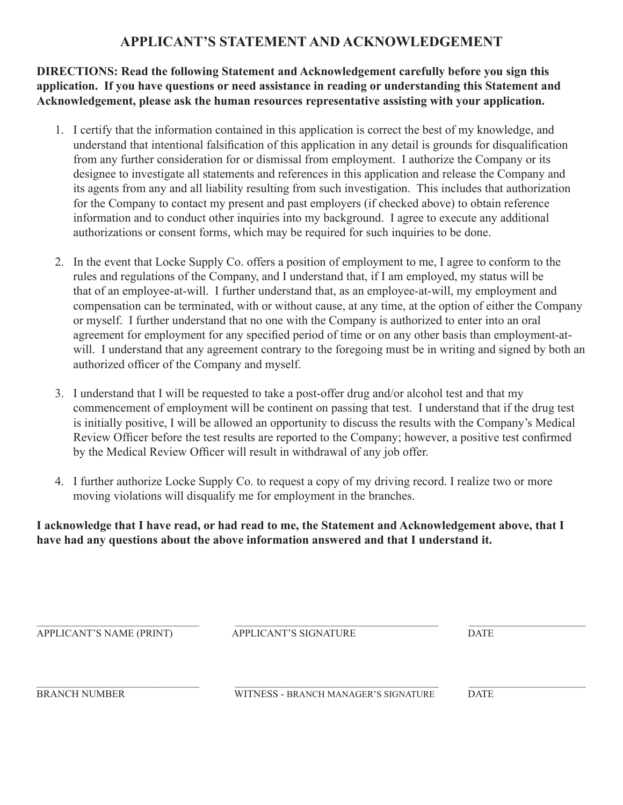## **APPLICANT'S STATEMENT AND ACKNOWLEDGEMENT**

**DIRECTIONS: Read the following Statement and Acknowledgement carefully before you sign this application. If you have questions or need assistance in reading or understanding this Statement and Acknowledgement, please ask the human resources representative assisting with your application.**

- 1. I certify that the information contained in this application is correct the best of my knowledge, and understand that intentional falsification of this application in any detail is grounds for disqualification from any further consideration for or dismissal from employment. I authorize the Company or its designee to investigate all statements and references in this application and release the Company and its agents from any and all liability resulting from such investigation. This includes that authorization for the Company to contact my present and past employers (if checked above) to obtain reference information and to conduct other inquiries into my background. I agree to execute any additional authorizations or consent forms, which may be required for such inquiries to be done.
- 2. In the event that Locke Supply Co. offers a position of employment to me, I agree to conform to the rules and regulations of the Company, and I understand that, if I am employed, my status will be that of an employee-at-will. I further understand that, as an employee-at-will, my employment and compensation can be terminated, with or without cause, at any time, at the option of either the Company or myself. I further understand that no one with the Company is authorized to enter into an oral agreement for employment for any specified period of time or on any other basis than employment-atwill. I understand that any agreement contrary to the foregoing must be in writing and signed by both an authorized officer of the Company and myself.
- 3. I understand that I will be requested to take a post-offer drug and/or alcohol test and that my commencement of employment will be continent on passing that test. I understand that if the drug test is initially positive, I will be allowed an opportunity to discuss the results with the Company's Medical Review Officer before the test results are reported to the Company; however, a positive test confirmed by the Medical Review Officer will result in withdrawal of any job offer.
- 4. I further authorize Locke Supply Co. to request a copy of my driving record. I realize two or more moving violations will disqualify me for employment in the branches.

**I acknowledge that I have read, or had read to me, the Statement and Acknowledgement above, that I have had any questions about the above information answered and that I understand it.**

 $\_$  ,  $\_$  ,  $\_$  ,  $\_$  ,  $\_$  ,  $\_$  ,  $\_$  ,  $\_$  ,  $\_$  ,  $\_$  ,  $\_$  ,  $\_$  ,  $\_$  ,  $\_$  ,  $\_$  ,  $\_$  ,  $\_$  ,  $\_$  ,  $\_$  ,  $\_$  ,  $\_$  ,  $\_$  ,  $\_$  ,  $\_$  ,  $\_$  ,  $\_$  ,  $\_$  ,  $\_$  ,  $\_$  ,  $\_$  ,  $\_$  ,  $\_$  ,  $\_$  ,  $\_$  ,  $\_$  ,  $\_$  ,  $\_$  , APPLICANT'S NAME (PRINT) APPLICANT'S SIGNATURE DATE  $\_$  ,  $\_$  ,  $\_$  ,  $\_$  ,  $\_$  ,  $\_$  ,  $\_$  ,  $\_$  ,  $\_$  ,  $\_$  ,  $\_$  ,  $\_$  ,  $\_$  ,  $\_$  ,  $\_$  ,  $\_$  ,  $\_$  ,  $\_$  ,  $\_$  ,  $\_$  ,  $\_$  ,  $\_$  ,  $\_$  ,  $\_$  ,  $\_$  ,  $\_$  ,  $\_$  ,  $\_$  ,  $\_$  ,  $\_$  ,  $\_$  ,  $\_$  ,  $\_$  ,  $\_$  ,  $\_$  ,  $\_$  ,  $\_$  , BRANCH NUMBER WITNESS - BRANCH MANAGER'S SIGNATURE DATE